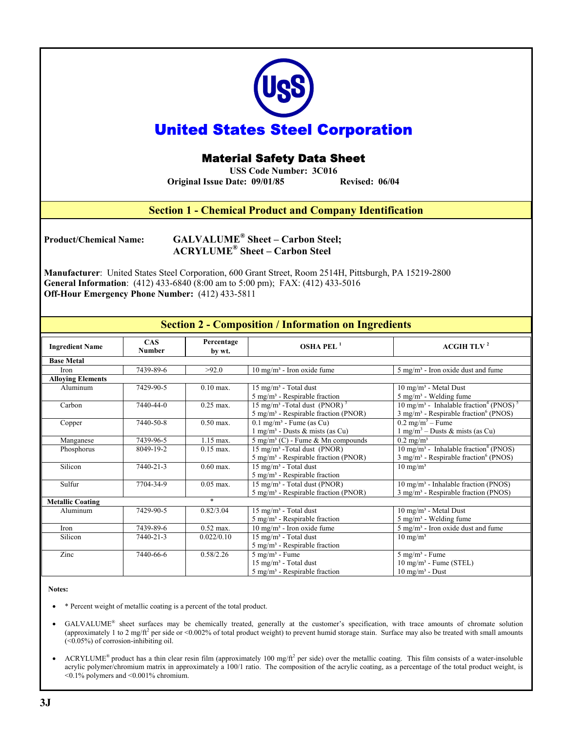| <b>United States Steel Corporation</b><br><b>Material Safety Data Sheet</b><br><b>USS Code Number: 3C016</b><br>Original Issue Date: 09/01/85<br><b>Revised: 06/04</b>                                                                                                                                                                                                                |                      |                      |                                                                                                              |                                                                                                                                               |
|---------------------------------------------------------------------------------------------------------------------------------------------------------------------------------------------------------------------------------------------------------------------------------------------------------------------------------------------------------------------------------------|----------------------|----------------------|--------------------------------------------------------------------------------------------------------------|-----------------------------------------------------------------------------------------------------------------------------------------------|
|                                                                                                                                                                                                                                                                                                                                                                                       |                      |                      |                                                                                                              |                                                                                                                                               |
| <b>Section 1 - Chemical Product and Company Identification</b>                                                                                                                                                                                                                                                                                                                        |                      |                      |                                                                                                              |                                                                                                                                               |
| <b>GALVALUME<sup>®</sup></b> Sheet - Carbon Steel;<br><b>Product/Chemical Name:</b><br><b>ACRYLUME<sup>®</sup> Sheet - Carbon Steel</b><br>Manufacturer: United States Steel Corporation, 600 Grant Street, Room 2514H, Pittsburgh, PA 15219-2800<br>General Information: (412) 433-6840 (8:00 am to 5:00 pm); FAX: (412) 433-5016<br>Off-Hour Emergency Phone Number: (412) 433-5811 |                      |                      |                                                                                                              |                                                                                                                                               |
|                                                                                                                                                                                                                                                                                                                                                                                       |                      |                      |                                                                                                              |                                                                                                                                               |
| <b>Section 2 - Composition / Information on Ingredients</b>                                                                                                                                                                                                                                                                                                                           |                      |                      |                                                                                                              |                                                                                                                                               |
| <b>Ingredient Name</b>                                                                                                                                                                                                                                                                                                                                                                | <b>CAS</b><br>Number | Percentage<br>by wt. | OSHA PEL <sup>1</sup>                                                                                        | <b>ACGIH TLV<sup>2</sup></b>                                                                                                                  |
| <b>Base Metal</b>                                                                                                                                                                                                                                                                                                                                                                     |                      |                      |                                                                                                              |                                                                                                                                               |
| Iron                                                                                                                                                                                                                                                                                                                                                                                  | 7439-89-6            | >92.0                | $10 \text{ mg/m}^3$ - Iron oxide fume                                                                        | 5 mg/m <sup>3</sup> - Iron oxide dust and fume                                                                                                |
| <b>Alloying Elements</b><br>Aluminum                                                                                                                                                                                                                                                                                                                                                  | 7429-90-5            | $0.10$ max.          | 15 mg/m <sup>3</sup> - Total dust                                                                            | 10 mg/m <sup>3</sup> - Metal Dust                                                                                                             |
|                                                                                                                                                                                                                                                                                                                                                                                       |                      |                      | $5 \text{ mg/m}^3$ - Respirable fraction                                                                     | 5 mg/m <sup>3</sup> - Welding fume                                                                                                            |
| Carbon                                                                                                                                                                                                                                                                                                                                                                                | 7440-44-0            | $0.25$ max.          | 15 mg/m <sup>3</sup> -Total dust (PNOR) <sup>3</sup><br>5 mg/m <sup>3</sup> - Respirable fraction (PNOR)     | 10 mg/m <sup>3</sup> - Inhalable fraction <sup>4</sup> (PNOS) <sup>5</sup><br>$3$ mg/m <sup>3</sup> - Respirable fraction <sup>6</sup> (PNOS) |
| Copper                                                                                                                                                                                                                                                                                                                                                                                | 7440-50-8            | $0.50$ max.          | $0.1$ mg/m <sup>3</sup> - Fume (as Cu)<br>$1$ mg/m <sup>3</sup> - Dusts & mists (as Cu)                      | $0.2 \text{ mg/m}^3 - \text{Fume}$<br>$1$ mg/m <sup>3</sup> – Dusts & mists (as Cu)                                                           |
| Manganese                                                                                                                                                                                                                                                                                                                                                                             | 7439-96-5            | $1.15$ max.          | $5 \text{ mg/m}^3$ (C) - Fume & Mn compounds                                                                 | $0.2 \text{ mg/m}^3$                                                                                                                          |
| Phosphorus                                                                                                                                                                                                                                                                                                                                                                            | 8049-19-2            | $0.15$ max.          | 15 mg/m <sup>3</sup> -Total dust (PNOR)<br>$5 \text{ mg/m}^3$ - Respirable fraction (PNOR)                   | $10 \text{ mg/m}^3$ - Inhalable fraction <sup>4</sup> (PNOS)<br>$3$ mg/m <sup>3</sup> - Respirable fraction <sup>6</sup> (PNOS)               |
| Silicon                                                                                                                                                                                                                                                                                                                                                                               | $7440 - 21 - 3$      | $0.60$ max.          | 15 mg/m <sup>3</sup> - Total dust<br>$5 \text{ mg/m}^3$ - Respirable fraction                                | $10 \text{ mg/m}^3$                                                                                                                           |
| Sulfur                                                                                                                                                                                                                                                                                                                                                                                | 7704-34-9            | $0.05$ max.          | $15 \text{ mg/m}^3$ - Total dust (PNOR)<br>$5 \text{ mg/m}^3$ - Respirable fraction (PNOR)                   | $10 \text{ mg/m}^3$ - Inhalable fraction (PNOS)<br>$3$ mg/m <sup>3</sup> - Respirable fraction (PNOS)                                         |
| <b>Metallic Coating</b>                                                                                                                                                                                                                                                                                                                                                               |                      | $\ast$               |                                                                                                              |                                                                                                                                               |
| Aluminum                                                                                                                                                                                                                                                                                                                                                                              | 7429-90-5            | 0.82/3.04            | $15 \text{ mg/m}^3$ - Total dust<br>$5$ mg/m <sup>3</sup> - Respirable fraction                              | $10 \text{ mg/m}^3$ - Metal Dust<br>$5$ mg/m <sup>3</sup> - Welding fume                                                                      |
| Iron                                                                                                                                                                                                                                                                                                                                                                                  | 7439-89-6            | $0.52$ max.          | $10 \text{ mg/m}^3$ - Iron oxide fume                                                                        | 5 mg/m <sup>3</sup> - Iron oxide dust and fume                                                                                                |
| Silicon                                                                                                                                                                                                                                                                                                                                                                               | 7440-21-3            | 0.022/0.10           | 15 mg/m <sup>3</sup> - Total dust<br>$5 \text{ mg/m}^3$ - Respirable fraction                                | $10 \text{ mg/m}^3$                                                                                                                           |
| Zinc                                                                                                                                                                                                                                                                                                                                                                                  | 7440-66-6            | 0.58/2.26            | $5$ mg/m <sup>3</sup> - Fume<br>$15 \text{ mg/m}^3$ - Total dust<br>$5 \text{ mg/m}^3$ - Respirable fraction | $5$ mg/m <sup>3</sup> - Fume<br>$10 \text{ mg/m}^3$ - Fume (STEL)<br>$10 \text{ mg/m}^3$ - $\text{Dust}$                                      |

### **Notes:**

- \* Percent weight of metallic coating is a percent of the total product.
- GALVALUME<sup>®</sup> sheet surfaces may be chemically treated, generally at the customer's specification, with trace amounts of chromate solution (approximately 1 to 2 mg/ft<sup>2</sup> per side or <0.002% of total product weight) to prevent humid storage stain. Surface may also be treated with small amounts (<0.05%) of corrosion-inhibiting oil.
- ACRYLUME<sup>®</sup> product has a thin clear resin film (approximately 100 mg/ft<sup>2</sup> per side) over the metallic coating. This film consists of a water-insoluble acrylic polymer/chromium matrix in approximately a 100/1 ratio. The composition of the acrylic coating, as a percentage of the total product weight, is <0.1% polymers and <0.001% chromium.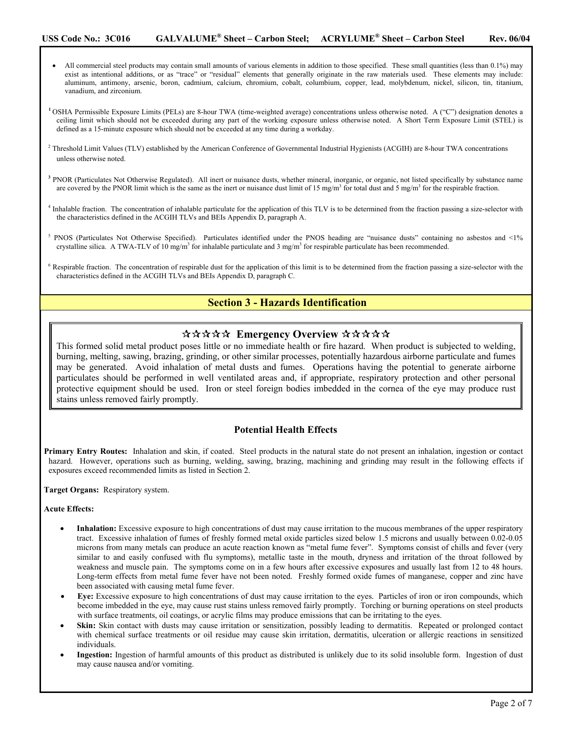- All commercial steel products may contain small amounts of various elements in addition to those specified. These small quantities (less than 0.1%) may exist as intentional additions, or as "trace" or "residual" elements that generally originate in the raw materials used. These elements may include: aluminum, antimony, arsenic, boron, cadmium, calcium, chromium, cobalt, columbium, copper, lead, molybdenum, nickel, silicon, tin, titanium, vanadium, and zirconium.
- **<sup>1</sup>**OSHA Permissible Exposure Limits (PELs) are 8-hour TWA (time-weighted average) concentrations unless otherwise noted. A ("C") designation denotes a ceiling limit which should not be exceeded during any part of the working exposure unless otherwise noted. A Short Term Exposure Limit (STEL) is defined as a 15-minute exposure which should not be exceeded at any time during a workday.
- <sup>2</sup> Threshold Limit Values (TLV) established by the American Conference of Governmental Industrial Hygienists (ACGIH) are 8-hour TWA concentrations unless otherwise noted.
- **<sup>3</sup>** PNOR (Particulates Not Otherwise Regulated). All inert or nuisance dusts, whether mineral, inorganic, or organic, not listed specifically by substance name are covered by the PNOR limit which is the same as the inert or nuisance dust limit of 15 mg/m<sup>3</sup> for total dust and 5 mg/m<sup>3</sup> for the respirable fraction.
- <sup>4</sup> Inhalable fraction. The concentration of inhalable particulate for the application of this TLV is to be determined from the fraction passing a size-selector with the characteristics defined in the ACGIH TLVs and BEIs Appendix D, paragraph A.
- PNOS (Particulates Not Otherwise Specified). Particulates identified under the PNOS heading are "nuisance dusts" containing no asbestos and <1% crystalline silica. A TWA-TLV of 10 mg/m<sup>3</sup> for inhalable particulate and 3 mg/m<sup>3</sup> for respirable particulate has been recommended.
- <sup>6</sup> Respirable fraction. The concentration of respirable dust for the application of this limit is to be determined from the fraction passing a size-selector with the characteristics defined in the ACGIH TLVs and BEIs Appendix D, paragraph C.

# **Section 3 - Hazards Identification**

# \*\*\*\*\* Emergency Overview \*\*\*\*\*

This formed solid metal product poses little or no immediate health or fire hazard. When product is subjected to welding, burning, melting, sawing, brazing, grinding, or other similar processes, potentially hazardous airborne particulate and fumes may be generated. Avoid inhalation of metal dusts and fumes. Operations having the potential to generate airborne particulates should be performed in well ventilated areas and, if appropriate, respiratory protection and other personal protective equipment should be used. Iron or steel foreign bodies imbedded in the cornea of the eye may produce rust stains unless removed fairly promptly.

# **Potential Health Effects**

**Primary Entry Routes:** Inhalation and skin, if coated. Steel products in the natural state do not present an inhalation, ingestion or contact hazard. However, operations such as burning, welding, sawing, brazing, machining and grinding may result in the following effects if exposures exceed recommended limits as listed in Section 2.

**Target Organs:** Respiratory system.

### **Acute Effects:**

- **Inhalation:** Excessive exposure to high concentrations of dust may cause irritation to the mucous membranes of the upper respiratory tract. Excessive inhalation of fumes of freshly formed metal oxide particles sized below 1.5 microns and usually between 0.02-0.05 microns from many metals can produce an acute reaction known as "metal fume fever". Symptoms consist of chills and fever (very similar to and easily confused with flu symptoms), metallic taste in the mouth, dryness and irritation of the throat followed by weakness and muscle pain. The symptoms come on in a few hours after excessive exposures and usually last from 12 to 48 hours. Long-term effects from metal fume fever have not been noted. Freshly formed oxide fumes of manganese, copper and zinc have been associated with causing metal fume fever.
- **Eye:** Excessive exposure to high concentrations of dust may cause irritation to the eyes. Particles of iron or iron compounds, which become imbedded in the eye, may cause rust stains unless removed fairly promptly. Torching or burning operations on steel products with surface treatments, oil coatings, or acrylic films may produce emissions that can be irritating to the eyes.
- **Skin:** Skin contact with dusts may cause irritation or sensitization, possibly leading to dermatitis. Repeated or prolonged contact with chemical surface treatments or oil residue may cause skin irritation, dermatitis, ulceration or allergic reactions in sensitized individuals.
- **Ingestion:** Ingestion of harmful amounts of this product as distributed is unlikely due to its solid insoluble form. Ingestion of dust may cause nausea and/or vomiting.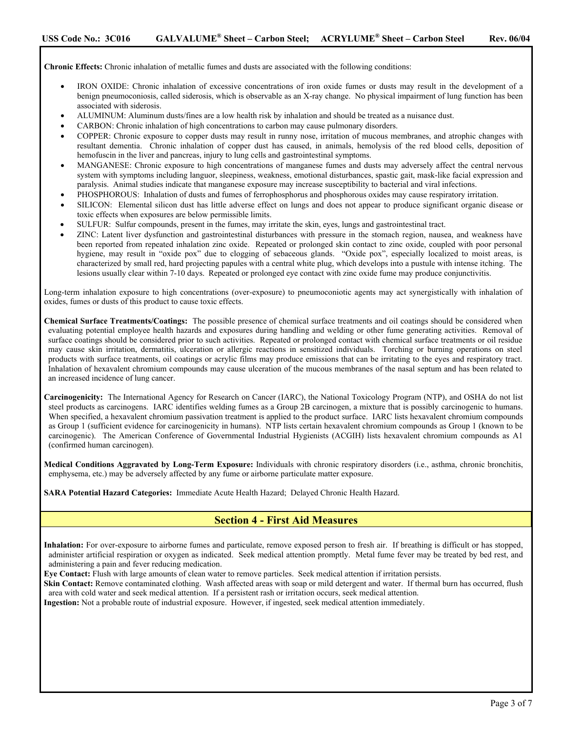**Chronic Effects:** Chronic inhalation of metallic fumes and dusts are associated with the following conditions:

- IRON OXIDE: Chronic inhalation of excessive concentrations of iron oxide fumes or dusts may result in the development of a benign pneumoconiosis, called siderosis, which is observable as an X-ray change. No physical impairment of lung function has been associated with siderosis.
- ALUMINUM: Aluminum dusts/fines are a low health risk by inhalation and should be treated as a nuisance dust.
- CARBON: Chronic inhalation of high concentrations to carbon may cause pulmonary disorders.
- COPPER: Chronic exposure to copper dusts may result in runny nose, irritation of mucous membranes, and atrophic changes with resultant dementia. Chronic inhalation of copper dust has caused, in animals, hemolysis of the red blood cells, deposition of hemofuscin in the liver and pancreas, injury to lung cells and gastrointestinal symptoms.
- MANGANESE: Chronic exposure to high concentrations of manganese fumes and dusts may adversely affect the central nervous system with symptoms including languor, sleepiness, weakness, emotional disturbances, spastic gait, mask-like facial expression and paralysis. Animal studies indicate that manganese exposure may increase susceptibility to bacterial and viral infections.
- PHOSPHOROUS: Inhalation of dusts and fumes of ferrophosphorus and phosphorous oxides may cause respiratory irritation.
- SILICON: Elemental silicon dust has little adverse effect on lungs and does not appear to produce significant organic disease or toxic effects when exposures are below permissible limits.
- SULFUR: Sulfur compounds, present in the fumes, may irritate the skin, eyes, lungs and gastrointestinal tract.
- ZINC: Latent liver dysfunction and gastrointestinal disturbances with pressure in the stomach region, nausea, and weakness have been reported from repeated inhalation zinc oxide. Repeated or prolonged skin contact to zinc oxide, coupled with poor personal hygiene, may result in "oxide pox" due to clogging of sebaceous glands. "Oxide pox", especially localized to moist areas, is characterized by small red, hard projecting papules with a central white plug, which develops into a pustule with intense itching. The lesions usually clear within 7-10 days. Repeated or prolonged eye contact with zinc oxide fume may produce conjunctivitis.

Long-term inhalation exposure to high concentrations (over-exposure) to pneumoconiotic agents may act synergistically with inhalation of oxides, fumes or dusts of this product to cause toxic effects.

- **Chemical Surface Treatments/Coatings:** The possible presence of chemical surface treatments and oil coatings should be considered when evaluating potential employee health hazards and exposures during handling and welding or other fume generating activities. Removal of surface coatings should be considered prior to such activities. Repeated or prolonged contact with chemical surface treatments or oil residue may cause skin irritation, dermatitis, ulceration or allergic reactions in sensitized individuals. Torching or burning operations on steel products with surface treatments, oil coatings or acrylic films may produce emissions that can be irritating to the eyes and respiratory tract. Inhalation of hexavalent chromium compounds may cause ulceration of the mucous membranes of the nasal septum and has been related to an increased incidence of lung cancer.
- **Carcinogenicity:** The International Agency for Research on Cancer (IARC), the National Toxicology Program (NTP), and OSHA do not list steel products as carcinogens. IARC identifies welding fumes as a Group 2B carcinogen, a mixture that is possibly carcinogenic to humans. When specified, a hexavalent chromium passivation treatment is applied to the product surface. IARC lists hexavalent chromium compounds as Group 1 (sufficient evidence for carcinogenicity in humans). NTP lists certain hexavalent chromium compounds as Group 1 (known to be carcinogenic). The American Conference of Governmental Industrial Hygienists (ACGIH) lists hexavalent chromium compounds as A1 (confirmed human carcinogen).

**Medical Conditions Aggravated by Long-Term Exposure:** Individuals with chronic respiratory disorders (i.e., asthma, chronic bronchitis, emphysema, etc.) may be adversely affected by any fume or airborne particulate matter exposure.

**SARA Potential Hazard Categories:** Immediate Acute Health Hazard; Delayed Chronic Health Hazard.

# **Section 4 - First Aid Measures**

**Inhalation:** For over-exposure to airborne fumes and particulate, remove exposed person to fresh air. If breathing is difficult or has stopped, administer artificial respiration or oxygen as indicated. Seek medical attention promptly. Metal fume fever may be treated by bed rest, and administering a pain and fever reducing medication.

**Eye Contact:** Flush with large amounts of clean water to remove particles. Seek medical attention if irritation persists.

**Skin Contact:** Remove contaminated clothing. Wash affected areas with soap or mild detergent and water. If thermal burn has occurred, flush area with cold water and seek medical attention. If a persistent rash or irritation occurs, seek medical attention.

**Ingestion:** Not a probable route of industrial exposure. However, if ingested, seek medical attention immediately.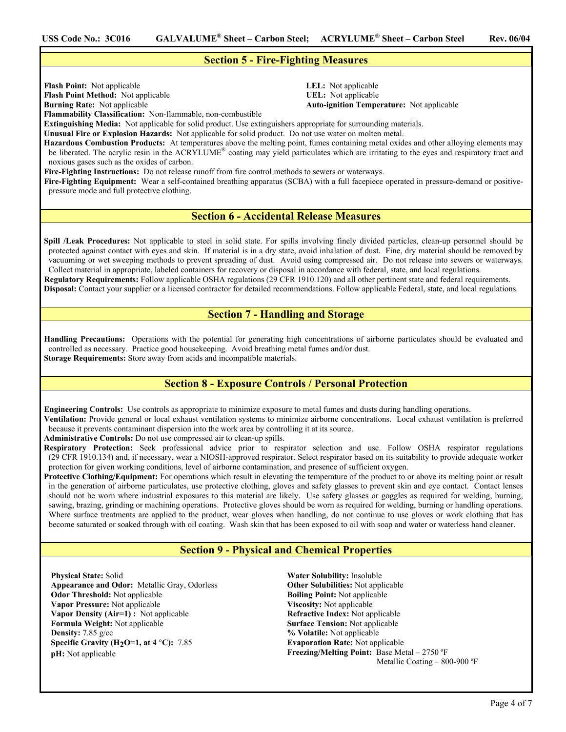## **Section 5 - Fire-Fighting Measures**

**Flash Point:** Not applicable **LEL:** Not applicable **Flash Point Method:** Not applicable **UEL:** Not applicable

**Burning Rate:** Not applicable **Auto-ignition Temperature:** Not applicable

**Flammability Classification:** Non-flammable, non-combustible

**Extinguishing Media:** Not applicable for solid product. Use extinguishers appropriate for surrounding materials.

**Unusual Fire or Explosion Hazards:** Not applicable for solid product. Do not use water on molten metal.

**Hazardous Combustion Products:** At temperatures above the melting point, fumes containing metal oxides and other alloying elements may be liberated. The acrylic resin in the ACRYLUME<sup>®</sup> coating may yield particulates which are irritating to the eyes and respiratory tract and noxious gases such as the oxides of carbon.

**Fire-Fighting Instructions:** Do not release runoff from fire control methods to sewers or waterways.

**Fire-Fighting Equipment:** Wear a self-contained breathing apparatus (SCBA) with a full facepiece operated in pressure-demand or positivepressure mode and full protective clothing.

# **Section 6 - Accidental Release Measures**

**Spill /Leak Procedures:** Not applicable to steel in solid state. For spills involving finely divided particles, clean-up personnel should be protected against contact with eyes and skin. If material is in a dry state, avoid inhalation of dust. Fine, dry material should be removed by vacuuming or wet sweeping methods to prevent spreading of dust. Avoid using compressed air. Do not release into sewers or waterways. Collect material in appropriate, labeled containers for recovery or disposal in accordance with federal, state, and local regulations. **Regulatory Requirements:** Follow applicable OSHA regulations (29 CFR 1910.120) and all other pertinent state and federal requirements. **Disposal:** Contact your supplier or a licensed contractor for detailed recommendations. Follow applicable Federal, state, and local regulations.

# **Section 7 - Handling and Storage**

**Handling Precautions:** Operations with the potential for generating high concentrations of airborne particulates should be evaluated and controlled as necessary. Practice good housekeeping. Avoid breathing metal fumes and/or dust. **Storage Requirements:** Store away from acids and incompatible materials.

# **Section 8 - Exposure Controls / Personal Protection**

**Engineering Controls:** Use controls as appropriate to minimize exposure to metal fumes and dusts during handling operations.

**Ventilation:** Provide general or local exhaust ventilation systems to minimize airborne concentrations. Local exhaust ventilation is preferred because it prevents contaminant dispersion into the work area by controlling it at its source.

**Administrative Controls:** Do not use compressed air to clean-up spills.

**Respiratory Protection:** Seek professional advice prior to respirator selection and use. Follow OSHA respirator regulations (29 CFR 1910.134) and, if necessary, wear a NIOSH-approved respirator. Select respirator based on its suitability to provide adequate worker protection for given working conditions, level of airborne contamination, and presence of sufficient oxygen.

**Protective Clothing/Equipment:** For operations which result in elevating the temperature of the product to or above its melting point or result in the generation of airborne particulates, use protective clothing, gloves and safety glasses to prevent skin and eye contact. Contact lenses should not be worn where industrial exposures to this material are likely. Use safety glasses or goggles as required for welding, burning, sawing, brazing, grinding or machining operations. Protective gloves should be worn as required for welding, burning or handling operations. Where surface treatments are applied to the product, wear gloves when handling, do not continue to use gloves or work clothing that has become saturated or soaked through with oil coating. Wash skin that has been exposed to oil with soap and water or waterless hand cleaner.

# **Section 9 - Physical and Chemical Properties**

**Physical State:** Solid **Appearance and Odor:** Metallic Gray, Odorless **Odor Threshold:** Not applicable **Vapor Pressure:** Not applicable **Vapor Density (Air=1) :** Not applicable **Formula Weight:** Not applicable **Density:** 7.85 g/cc **Specific Gravity (H2O=1, at 4** °**C):** 7.85 **pH:** Not applicable

**Water Solubility:** Insoluble **Other Solubilities:** Not applicable **Boiling Point:** Not applicable **Viscosity:** Not applicable **Refractive Index:** Not applicable **Surface Tension:** Not applicable **% Volatile:** Not applicable **Evaporation Rate:** Not applicable **Freezing/Melting Point:** Base Metal – 2750 ºF Metallic Coating – 800-900 ºF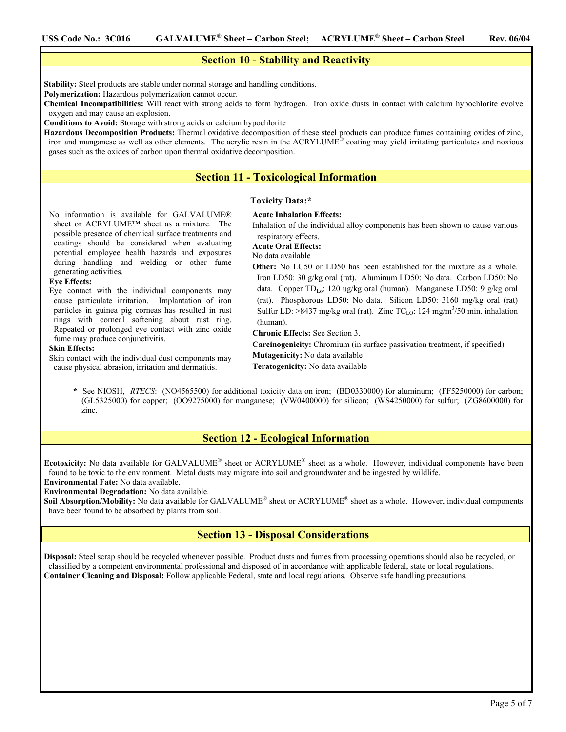# **Section 10 - Stability and Reactivity**

**Stability:** Steel products are stable under normal storage and handling conditions.

**Polymerization:** Hazardous polymerization cannot occur.

**Chemical Incompatibilities:** Will react with strong acids to form hydrogen. Iron oxide dusts in contact with calcium hypochlorite evolve oxygen and may cause an explosion.

**Conditions to Avoid:** Storage with strong acids or calcium hypochlorite

**Hazardous Decomposition Products:** Thermal oxidative decomposition of these steel products can produce fumes containing oxides of zinc, iron and manganese as well as other elements. The acrylic resin in the ACRYLUME<sup>®</sup> coating may yield irritating particulates and noxious gases such as the oxides of carbon upon thermal oxidative decomposition.

## **Section 11 - Toxicological Information**

### **Toxicity Data:\***

**Acute Inhalation Effects:**

No information is available for GALVALUME® sheet or ACRYLUME™ sheet as a mixture. The possible presence of chemical surface treatments and coatings should be considered when evaluating potential employee health hazards and exposures during handling and welding or other fume generating activities.

### **Eye Effects:**

Eye contact with the individual components may cause particulate irritation. Implantation of iron particles in guinea pig corneas has resulted in rust rings with corneal softening about rust ring. Repeated or prolonged eye contact with zinc oxide fume may produce conjunctivitis.

#### **Skin Effects:**

Skin contact with the individual dust components may cause physical abrasion, irritation and dermatitis.

Inhalation of the individual alloy components has been shown to cause various respiratory effects.

**Acute Oral Effects:**

No data available

**Other:** No LC50 or LD50 has been established for the mixture as a whole. Iron LD50: 30 g/kg oral (rat). Aluminum LD50: No data. Carbon LD50: No data. Copper TD<sub>Lo</sub>: 120 ug/kg oral (human). Manganese LD50: 9 g/kg oral (rat). Phosphorous LD50: No data. Silicon LD50: 3160 mg/kg oral (rat) Sulfur LD:  $>8437$  mg/kg oral (rat). Zinc TC<sub>LO</sub>: 124 mg/m<sup>3</sup>/50 min. inhalation (human).

**Chronic Effects:** See Section 3.

**Carcinogenicity:** Chromium (in surface passivation treatment, if specified) **Mutagenicity:** No data available **Teratogenicity:** No data available

See NIOSH, *RTECS*: (NO4565500) for additional toxicity data on iron; (BD0330000) for aluminum; (FF5250000) for carbon; (GL5325000) for copper; (OO9275000) for manganese; (VW0400000) for silicon; (WS4250000) for sulfur; (ZG8600000) for zinc.

### **Section 12 - Ecological Information**

Ecotoxicity: No data available for GALVALUME<sup>®</sup> sheet or ACRYLUME<sup>®</sup> sheet as a whole. However, individual components have been found to be toxic to the environment. Metal dusts may migrate into soil and groundwater and be ingested by wildlife.

**Environmental Fate:** No data available.

**Environmental Degradation:** No data available.

**Soil Absorption/Mobility:** No data available for GALVALUME® sheet or ACRYLUME® sheet as a whole. However, individual components have been found to be absorbed by plants from soil.

## **Section 13 - Disposal Considerations**

**Disposal:** Steel scrap should be recycled whenever possible. Product dusts and fumes from processing operations should also be recycled, or classified by a competent environmental professional and disposed of in accordance with applicable federal, state or local regulations. **Container Cleaning and Disposal:** Follow applicable Federal, state and local regulations. Observe safe handling precautions.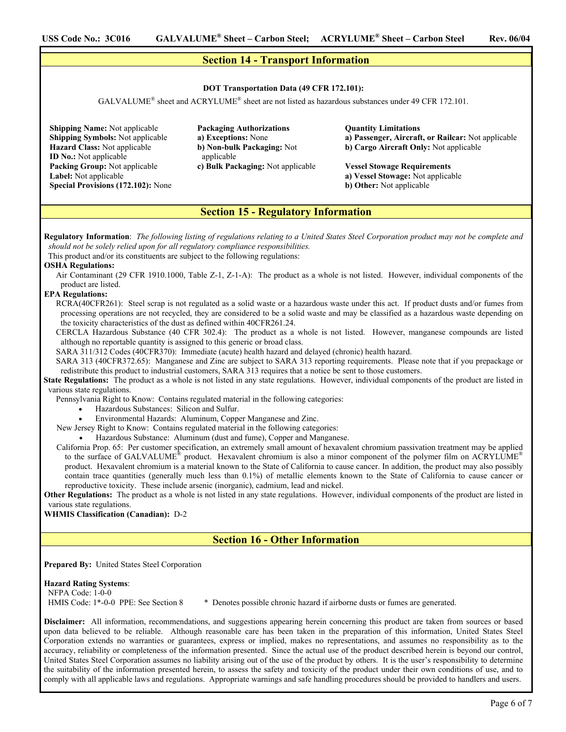### **Section 14 - Transport Information**

### **DOT Transportation Data (49 CFR 172.101):**

GALVALUME® sheet and ACRYLUME® sheet are not listed as hazardous substances under 49 CFR 172.101.

**Shipping Name:** Not applicable **Shipping Symbols:** Not applicable **Hazard Class:** Not applicable **ID No.:** Not applicable **Packing Group:** Not applicable **Label:** Not applicable **Special Provisions (172.102):** None **Packaging Authorizations a) Exceptions:** None **b) Non-bulk Packaging:** Not applicable **c) Bulk Packaging:** Not applicable

### **Quantity Limitations a) Passenger, Aircraft, or Railcar:** Not applicable **b) Cargo Aircraft Only:** Not applicable

**Vessel Stowage Requirements a) Vessel Stowage:** Not applicable **b) Other:** Not applicable

### **Section 15 - Regulatory Information**

**Regulatory Information**: *The following listing of regulations relating to a United States Steel Corporation product may not be complete and should not be solely relied upon for all regulatory compliance responsibilities.* 

This product and/or its constituents are subject to the following regulations:

### **OSHA Regulations:**

Air Contaminant (29 CFR 1910.1000, Table Z-1, Z-1-A): The product as a whole is not listed. However, individual components of the product are listed.

### **EPA Regulations:**

RCRA(40CFR261): Steel scrap is not regulated as a solid waste or a hazardous waste under this act. If product dusts and/or fumes from processing operations are not recycled, they are considered to be a solid waste and may be classified as a hazardous waste depending on the toxicity characteristics of the dust as defined within 40CFR261.24.

CERCLA Hazardous Substance (40 CFR 302.4): The product as a whole is not listed. However, manganese compounds are listed although no reportable quantity is assigned to this generic or broad class.

SARA 311/312 Codes (40CFR370): Immediate (acute) health hazard and delayed (chronic) health hazard.

SARA 313 (40CFR372.65): Manganese and Zinc are subject to SARA 313 reporting requirements. Please note that if you prepackage or redistribute this product to industrial customers, SARA 313 requires that a notice be sent to those customers.

State Regulations: The product as a whole is not listed in any state regulations. However, individual components of the product are listed in various state regulations.

Pennsylvania Right to Know: Contains regulated material in the following categories:

- Hazardous Substances: Silicon and Sulfur.
- Environmental Hazards: Aluminum, Copper Manganese and Zinc.

New Jersey Right to Know:Contains regulated material in the following categories:

• Hazardous Substance: Aluminum (dust and fume), Copper and Manganese.

California Prop. 65: Per customer specification, an extremely small amount of hexavalent chromium passivation treatment may be applied to the surface of GALVALUME<sup>®</sup> product. Hexavalent chromium is also a minor component of the polymer film on ACRYLUME<sup>®</sup> product. Hexavalent chromium is a material known to the State of California to cause cancer. In addition, the product may also possibly contain trace quantities (generally much less than 0.1%) of metallic elements known to the State of California to cause cancer or reproductive toxicity. These include arsenic (inorganic), cadmium, lead and nickel.

**Other Regulations:** The product as a whole is not listed in any state regulations. However, individual components of the product are listed in various state regulations.

### **WHMIS Classification (Canadian):** D-2

## **Section 16 - Other Information**

**Prepared By:** United States Steel Corporation

### **Hazard Rating Systems**: NFPA Code: 1-0-0

HMIS Code: 1\*-0-0 PPE: See Section 8 \* Denotes possible chronic hazard if airborne dusts or fumes are generated.

**Disclaimer:** All information, recommendations, and suggestions appearing herein concerning this product are taken from sources or based upon data believed to be reliable. Although reasonable care has been taken in the preparation of this information, United States Steel Corporation extends no warranties or guarantees, express or implied, makes no representations, and assumes no responsibility as to the accuracy, reliability or completeness of the information presented. Since the actual use of the product described herein is beyond our control, United States Steel Corporation assumes no liability arising out of the use of the product by others. It is the user's responsibility to determine the suitability of the information presented herein, to assess the safety and toxicity of the product under their own conditions of use, and to comply with all applicable laws and regulations. Appropriate warnings and safe handling procedures should be provided to handlers and users.